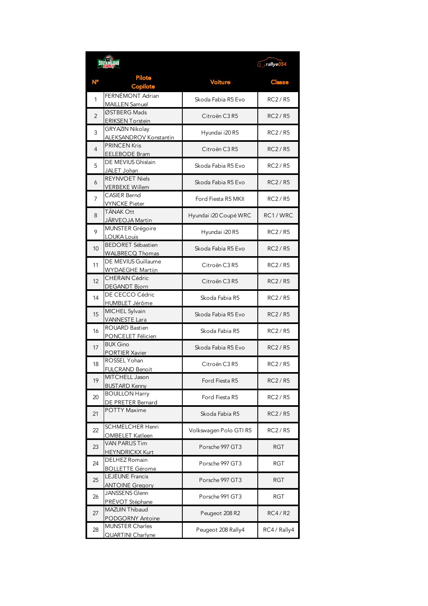|                |                                                    | $\sqrt{ }$ rallye054   |               |
|----------------|----------------------------------------------------|------------------------|---------------|
|                | <b>Pilote</b><br><b>Copilote</b>                   | <b>Voiture</b>         | <b>Classe</b> |
| 1              | FERNÉMONT Adrian<br><b>MAILLEN Samuel</b>          | Skoda Fabia R5 Evo     | <b>RC2/R5</b> |
| $\overline{2}$ | ØSTBERG Mads<br><b>ERIKSEN Torstein</b>            | Citroën C3 R5          | <b>RC2/R5</b> |
| 3              | GRYAZIN Nikolay<br><b>ALEKSANDROV Konstantin</b>   | Hyundai i20 R5         | RC2/R5        |
| 4              | <b>PRINCEN Kris</b><br><b>EELEBODE Bram</b>        | Citroën C3 R5          | <b>RC2/R5</b> |
| 5              | DE MEVIUS Ghislain<br>JALET Johan                  | Skoda Fabia R5 Evo     | <b>RC2/R5</b> |
| 6              | <b>REYNVOET Niels</b><br><b>VERBEKE Willem</b>     | Skoda Fabia R5 Evo     | <b>RC2/R5</b> |
| 7              | <b>CASIER Bernd</b><br><b>VYNCKE Pieter</b>        | Ford Fiesta R5 MKII    | <b>RC2/R5</b> |
| 8              | TÄNAK Ott<br>JÄRVEOJA Martin                       | Hyundai i20 Coupé WRC  | RC1/WRC       |
| 9              | <b>MUNSTER Grégoire</b><br>LOUKA Louis             | Hyundai i20 R5         | <b>RC2/R5</b> |
| 10             | <b>BEDORET Sébastien</b><br><b>WALBRECQ Thomas</b> | Skoda Fabia R5 Evo     | <b>RC2/R5</b> |
| 11             | DE MEVIUS Guillaume<br><b>WYDAEGHE Martijn</b>     | Citroën C3 R5          | RC2/R5        |
| 12             | <b>CHERAIN Cédric</b><br><b>DEGANDT Bjorn</b>      | Citroën C3 R5          | <b>RC2/R5</b> |
| 14             | DE CECCO Cédric<br>HUMBLET Jérôme                  | Skoda Fabia R5         | <b>RC2/R5</b> |
| 15             | MICHEL Sylvain<br><b>VANNESTE Lara</b>             | Skoda Fabia R5 Evo     | <b>RC2/R5</b> |
| 16             | <b>ROUARD Bastien</b><br>PONCELET Félicien         | Skoda Fabia R5         | RC2/R5        |
| 17             | <b>BUX Gino</b><br>PORTIER Xavier                  | Skoda Fabia R5 Evo     | <b>RC2/R5</b> |
| 18             | ROSSEL Yohan<br><b>FULCRAND Benoit</b>             | Citroën C3 R5          | <b>RC2/R5</b> |
| 19             | MITCHELL Jason<br><b>BUSTARD Kenny</b>             | Ford Fiesta R5         | RC2/R5        |
| 20             | <b>BOUILLON Harry</b><br>DE PRETER Bernard         | Ford Fiesta R5         | RC2/R5        |
| 21             | <b>POTTY Maxime</b>                                | Skoda Fabia R5         | RC2/R5        |
| 22             | <b>SCHMELCHER Henri</b><br>OMBELET Katleen         | Volkswagen Polo GTI R5 | RC2/R5        |
| 23             | <b>VAN PARIJS Tim</b><br><b>HEYNDRICKX Kurt</b>    | Porsche 997 GT3        | RGT           |
| 24             | DELHEZ Romain<br><b>BOLLETTE Gérome</b>            | Porsche 997 GT3        | RGT           |
| 25             | LEJEUNE Francis<br><b>ANTOINE Gregory</b>          | Porsche 997 GT3        | <b>RGT</b>    |
| 26             | <b>JANSSENS Glenn</b><br>PRÉVOT Stéphane           | Porsche 991 GT3        | RGT           |
| 27             | MAZUIN Thibaud<br><b>PODGORNY Antoine</b>          | Peugeot 208 R2         | <b>RC4/R2</b> |
| 28             | <b>MUNSTER Charles</b><br>QUARTINI Charlyne        | Peugeot 208 Rally4     | RC4 / Rally4  |